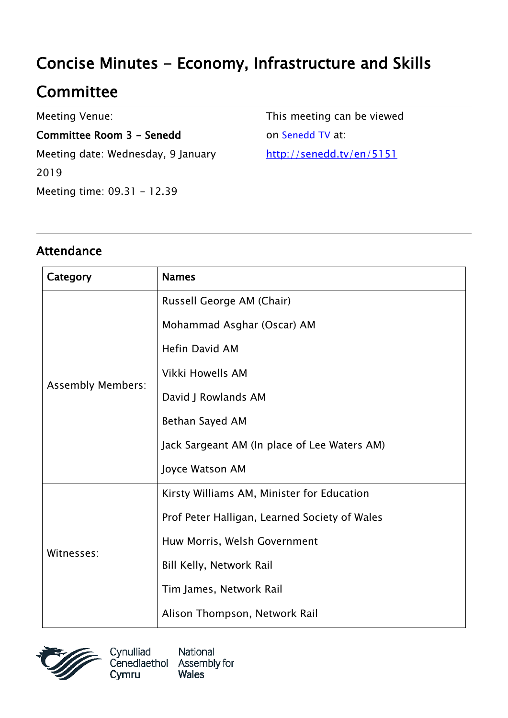# Concise Minutes - Economy, Infrastructure and Skills

## **Committee**

Meeting Venue:

Committee Room 3 - Senedd Meeting date: Wednesday, 9 January 2019 Meeting time: 09.31 - 12.39

This meeting can be viewed on [Senedd TV](http://senedd.tv/) at: http://senedd.tv/en/5151

#### Attendance

| Category                 | <b>Names</b>                                  |
|--------------------------|-----------------------------------------------|
| <b>Assembly Members:</b> | Russell George AM (Chair)                     |
|                          | Mohammad Asghar (Oscar) AM                    |
|                          | Hefin David AM                                |
|                          | Vikki Howells AM                              |
|                          | David J Rowlands AM                           |
|                          | Bethan Sayed AM                               |
|                          | Jack Sargeant AM (In place of Lee Waters AM)  |
|                          | Joyce Watson AM                               |
| Witnesses:               | Kirsty Williams AM, Minister for Education    |
|                          | Prof Peter Halligan, Learned Society of Wales |
|                          | Huw Morris, Welsh Government                  |
|                          | <b>Bill Kelly, Network Rail</b>               |
|                          | Tim James, Network Rail                       |
|                          | Alison Thompson, Network Rail                 |



Cynulliad National Cenedlaethol Assembly for **Wales** Cymru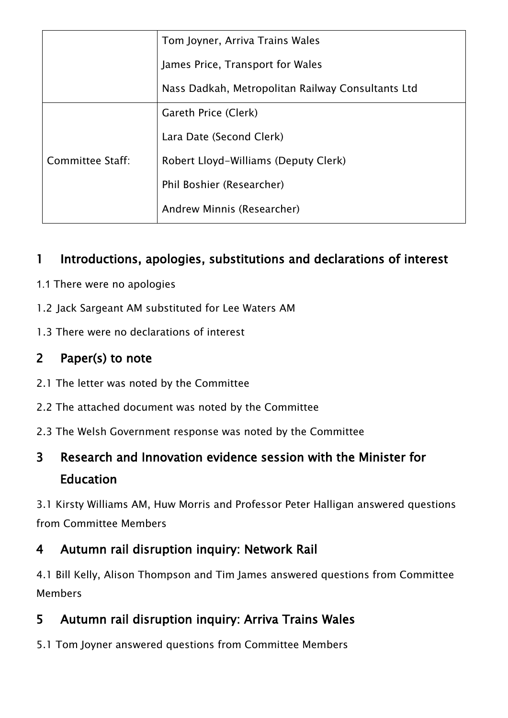|                  | Tom Joyner, Arriva Trains Wales                   |
|------------------|---------------------------------------------------|
|                  | James Price, Transport for Wales                  |
|                  | Nass Dadkah, Metropolitan Railway Consultants Ltd |
| Committee Staff: | Gareth Price (Clerk)                              |
|                  | Lara Date (Second Clerk)                          |
|                  | Robert Lloyd-Williams (Deputy Clerk)              |
|                  | Phil Boshier (Researcher)                         |
|                  | Andrew Minnis (Researcher)                        |

#### 1 Introductions, apologies, substitutions and declarations of interest

- 1.1 There were no apologies
- 1.2 Jack Sargeant AM substituted for Lee Waters AM
- 1.3 There were no declarations of interest

#### 2 Paper(s) to note

- 2.1 The letter was noted by the Committee
- 2.2 The attached document was noted by the Committee
- 2.3 The Welsh Government response was noted by the Committee

### 3 Research and Innovation evidence session with the Minister for Education

3.1 Kirsty Williams AM, Huw Morris and Professor Peter Halligan answered questions from Committee Members

#### 4 Autumn rail disruption inquiry: Network Rail

4.1 Bill Kelly, Alison Thompson and Tim James answered questions from Committee Members

#### 5 Autumn rail disruption inquiry: Arriva Trains Wales

5.1 Tom Joyner answered questions from Committee Members